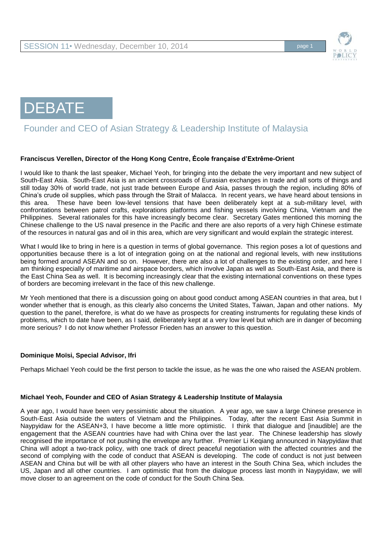



# Founder and CEO of Asian Strategy & Leadership Institute of Malaysia

## **Franciscus Verellen, Director of the Hong Kong Centre, École française d'Extrême-Orient**

I would like to thank the last speaker, Michael Yeoh, for bringing into the debate the very important and new subject of South-East Asia. South-East Asia is an ancient crossroads of Eurasian exchanges in trade and all sorts of things and still today 30% of world trade, not just trade between Europe and Asia, passes through the region, including 80% of China's crude oil supplies, which pass through the Strait of Malacca. In recent years, we have heard about tensions in this area. These have been low-level tensions that have been deliberately kept at a sub-military level, with confrontations between patrol crafts, explorations platforms and fishing vessels involving China, Vietnam and the Philippines. Several rationales for this have increasingly become clear. Secretary Gates mentioned this morning the Chinese challenge to the US naval presence in the Pacific and there are also reports of a very high Chinese estimate of the resources in natural gas and oil in this area, which are very significant and would explain the strategic interest.

What I would like to bring in here is a question in terms of global governance. This region poses a lot of questions and opportunities because there is a lot of integration going on at the national and regional levels, with new institutions being formed around ASEAN and so on. However, there are also a lot of challenges to the existing order, and here I am thinking especially of maritime and airspace borders, which involve Japan as well as South-East Asia, and there is the East China Sea as well. It is becoming increasingly clear that the existing international conventions on these types of borders are becoming irrelevant in the face of this new challenge.

Mr Yeoh mentioned that there is a discussion going on about good conduct among ASEAN countries in that area, but I wonder whether that is enough, as this clearly also concerns the United States, Taiwan, Japan and other nations. My question to the panel, therefore, is what do we have as prospects for creating instruments for regulating these kinds of problems, which to date have been, as I said, deliberately kept at a very low level but which are in danger of becoming more serious? I do not know whether Professor Frieden has an answer to this question.

## **Dominique Moïsi, Special Advisor, Ifri**

Perhaps Michael Yeoh could be the first person to tackle the issue, as he was the one who raised the ASEAN problem.

## **Michael Yeoh, Founder and CEO of Asian Strategy & Leadership Institute of Malaysia**

A year ago, I would have been very pessimistic about the situation. A year ago, we saw a large Chinese presence in South-East Asia outside the waters of Vietnam and the Philippines. Today, after the recent East Asia Summit in Naypyidaw for the ASEAN+3, I have become a little more optimistic. I think that dialogue and [inaudible] are the engagement that the ASEAN countries have had with China over the last year. The Chinese leadership has slowly recognised the importance of not pushing the envelope any further. Premier Li Keqiang announced in Naypyidaw that China will adopt a two-track policy, with one track of direct peaceful negotiation with the affected countries and the second of complying with the code of conduct that ASEAN is developing. The code of conduct is not just between ASEAN and China but will be with all other players who have an interest in the South China Sea, which includes the US, Japan and all other countries. I am optimistic that from the dialogue process last month in Naypyidaw, we will move closer to an agreement on the code of conduct for the South China Sea.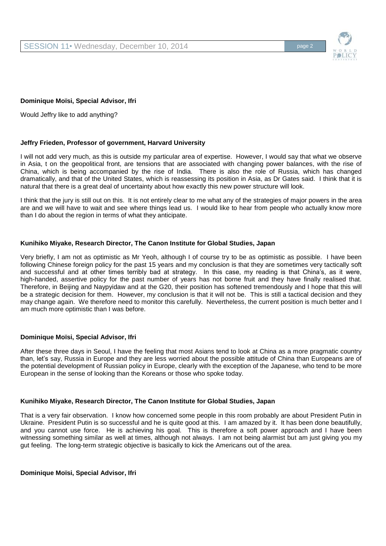

## **Dominique Moïsi, Special Advisor, Ifri**

Would Jeffry like to add anything?

## **Jeffry Frieden, Professor of government, Harvard University**

I will not add very much, as this is outside my particular area of expertise. However, I would say that what we observe in Asia, t on the geopolitical front, are tensions that are associated with changing power balances, with the rise of China, which is being accompanied by the rise of India. There is also the role of Russia, which has changed dramatically, and that of the United States, which is reassessing its position in Asia, as Dr Gates said. I think that it is natural that there is a great deal of uncertainty about how exactly this new power structure will look.

I think that the jury is still out on this. It is not entirely clear to me what any of the strategies of major powers in the area are and we will have to wait and see where things lead us. I would like to hear from people who actually know more than I do about the region in terms of what they anticipate.

## **Kunihiko Miyake, Research Director, The Canon Institute for Global Studies, Japan**

Very briefly, I am not as optimistic as Mr Yeoh, although I of course try to be as optimistic as possible. I have been following Chinese foreign policy for the past 15 years and my conclusion is that they are sometimes very tactically soft and successful and at other times terribly bad at strategy. In this case, my reading is that China's, as it were, high-handed, assertive policy for the past number of years has not borne fruit and they have finally realised that. Therefore, in Beijing and Naypyidaw and at the G20, their position has softened tremendously and I hope that this will be a strategic decision for them. However, my conclusion is that it will not be. This is still a tactical decision and they may change again. We therefore need to monitor this carefully. Nevertheless, the current position is much better and I am much more optimistic than I was before.

## **Dominique Moïsi, Special Advisor, Ifri**

After these three days in Seoul, I have the feeling that most Asians tend to look at China as a more pragmatic country than, let's say, Russia in Europe and they are less worried about the possible attitude of China than Europeans are of the potential development of Russian policy in Europe, clearly with the exception of the Japanese, who tend to be more European in the sense of looking than the Koreans or those who spoke today.

## **Kunihiko Miyake, Research Director, The Canon Institute for Global Studies, Japan**

That is a very fair observation. I know how concerned some people in this room probably are about President Putin in Ukraine. President Putin is so successful and he is quite good at this. I am amazed by it. It has been done beautifully, and you cannot use force. He is achieving his goal. This is therefore a soft power approach and I have been witnessing something similar as well at times, although not always. I am not being alarmist but am just giving you my gut feeling. The long-term strategic objective is basically to kick the Americans out of the area.

**Dominique Moïsi, Special Advisor, Ifri**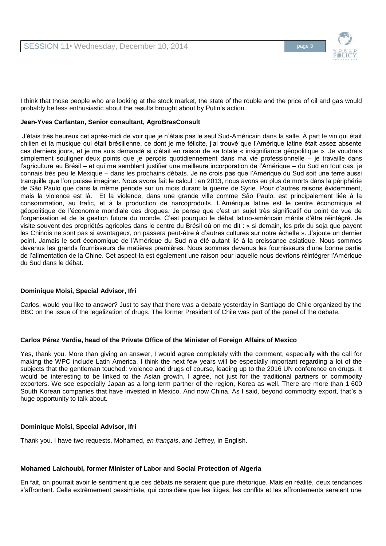

I think that those people who are looking at the stock market, the state of the rouble and the price of oil and gas would probably be less enthusiastic about the results brought about by Putin's action.

## **Jean-Yves Carfantan, Senior consultant, AgroBrasConsult**

J'étais très heureux cet après-midi de voir que je n'étais pas le seul Sud-Américain dans la salle. À part le vin qui était chilien et la musique qui était brésilienne, ce dont je me félicite, j'ai trouvé que l'Amérique latine était assez absente ces derniers jours, et je me suis demandé si c'était en raison de sa totale « insignifiance géopolitique ». Je voudrais simplement souligner deux points que je perçois quotidiennement dans ma vie professionnelle – je travaille dans l'agriculture au Brésil – et qui me semblent justifier une meilleure incorporation de l'Amérique – du Sud en tout cas, je connais très peu le Mexique – dans les prochains débats. Je ne crois pas que l'Amérique du Sud soit une terre aussi tranquille que l'on puisse imaginer. Nous avons fait le calcul : en 2013, nous avons eu plus de morts dans la périphérie de São Paulo que dans la même période sur un mois durant la guerre de Syrie. Pour d'autres raisons évidemment, mais la violence est là. Et la violence, dans une grande ville comme São Paulo, est principalement liée à la consommation, au trafic, et à la production de narcoproduits. L'Amérique latine est le centre économique et géopolitique de l'économie mondiale des drogues. Je pense que c'est un sujet très significatif du point de vue de l'organisation et de la gestion future du monde. C'est pourquoi le débat latino-américain mérite d'être réintégré. Je visite souvent des propriétés agricoles dans le centre du Brésil où on me dit : « si demain, les prix du soja que payent les Chinois ne sont pas si avantageux, on passera peut-être à d'autres cultures sur notre échelle ». J'ajoute un dernier point. Jamais le sort économique de l'Amérique du Sud n'a été autant lié à la croissance asiatique. Nous sommes devenus les grands fournisseurs de matières premières. Nous sommes devenus les fournisseurs d'une bonne partie de l'alimentation de la Chine. Cet aspect-là est également une raison pour laquelle nous devrions réintégrer l'Amérique du Sud dans le débat.

# **Dominique Moïsi, Special Advisor, Ifri**

Carlos, would you like to answer? Just to say that there was a debate yesterday in Santiago de Chile organized by the BBC on the issue of the legalization of drugs. The former President of Chile was part of the panel of the debate.

## **Carlos Pérez Verdia, head of the Private Office of the Minister of Foreign Affairs of Mexico**

Yes, thank you. More than giving an answer, I would agree completely with the comment, especially with the call for making the WPC include Latin America. I think the next few years will be especially important regarding a lot of the subjects that the gentleman touched: violence and drugs of course, leading up to the 2016 UN conference on drugs. It would be interesting to be linked to the Asian growth, I agree, not just for the traditional partners or commodity exporters. We see especially Japan as a long-term partner of the region, Korea as well. There are more than 1 600 South Korean companies that have invested in Mexico. And now China. As I said, beyond commodity export, that's a huge opportunity to talk about.

## **Dominique Moïsi, Special Advisor, Ifri**

Thank you. I have two requests. Mohamed, *en français*, and Jeffrey, in English.

## **Mohamed Laichoubi, former Minister of Labor and Social Protection of Algeria**

En fait, on pourrait avoir le sentiment que ces débats ne seraient que pure rhétorique. Mais en réalité, deux tendances s'affrontent. Celle extrêmement pessimiste, qui considère que les litiges, les conflits et les affrontements seraient une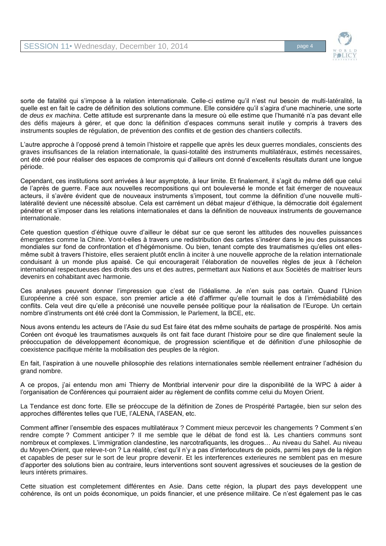

sorte de fatalité qui s'impose à la relation internationale. Celle-ci estime qu'il n'est nul besoin de multi-latéralité, la quelle est en fait le cadre de définition des solutions commune. Elle considére qu'il s'agira d'une machinerie, une sorte de *deus ex machina*. Cette attitude est surprenante dans la mesure où elle estime que l'humanité n'a pas devant elle des défis majeurs à gérer, et que donc la définition d'espaces communs serait inutile y compris à travers des instruments souples de régulation, de prévention des conflits et de gestion des chantiers collectifs.

L'autre approche à l'opposé prend à temoin l'histoire et rappelle que après les deux guerres mondiales, conscients des graves insufisances de la relation internationale, la quasi-totalité des instruments multilatéraux, estimés necessaires, ont été créé pour réaliser des espaces de compromis qui d'ailleurs ont donné d'excellents résultats durant une longue période.

Cependant, ces institutions sont arrivées à leur asymptote, à leur limite. Et finalement, il s'agit du même défi que celui de l'après de guerre. Face aux nouvelles recompositions qui ont bouleversé le monde et fait émerger de nouveaux acteurs, il s'avère évident que de nouveaux instruments s'imposent, tout comme la définition d'une nouvelle multilatéralité devient une nécessité absolue. Cela est carrément un débat majeur d'éthique, la démocratie doit également pénétrer et s'imposer dans les relations internationales et dans la définition de nouveaux instruments de gouvernance internationale.

Cete question question d'éthique ouvre d'ailleur le débat sur ce que seront les attitudes des nouvelles puissances émergentes comme la Chine. Vont-t-elles à travers une redistribution des cartes s'insérer dans le jeu des puissances mondiales sur fond de confrontation et d'hégémonisme. Ou bien, tenant compte des traumatismes qu'elles ont ellesmême subit à travers l'histoire, elles seraient plutôt enclin à inciter à une nouvelle approche de la relation internationale conduisant à un monde plus apaisé. Ce qui encouragerait l'élaboration de nouvelles règles de jeux à l'échelon international respectueuses des droits des uns et des autres, permettant aux Nations et aux Sociètés de maitriser leurs devenirs en cohabitant avec harmonie.

Ces analyses peuvent donner l'impression que c'est de l'idéalisme. Je n'en suis pas certain. Quand l'Union Européenne a créé son espace, son premier article a été d'affirmer qu'elle tournait le dos à l'irrémédiabilité des conflits. Cela veut dire qu'elle a préconisé une nouvelle pensée politique pour la réalisation de l'Europe. Un certain nombre d'instruments ont été créé dont la Commission, le Parlement, la BCE, etc.

Nous avons entendu les acteurs de l'Asie du sud Est faire état des même souhaits de partage de prospérité. Nos amis Coréen ont évoqué les traumatismes auxquels ils ont fait face durant l'histoire pour se dire que finalement seule la préoccupation de développement économique, de progression scientifique et de définition d'une philosophie de coexistence pacifique mérite la mobilisation des peuples de la région.

En fait, l'aspiration à une nouvelle philosophie des relations internationales semble réellement entrainer l'adhésion du grand nombre.

A ce propos, j'ai entendu mon ami Thierry de Montbrial intervenir pour dire la disponibilité de la WPC à aider à l'organisation de Conférences qui pourraient aider au règlement de conflits comme celui du Moyen Orient.

La Tendance est donc forte. Elle se préoccupe de la définition de Zones de Prospérité Partagée, bien sur selon des approches différentes telles que l'UE, l'ALENA, l'ASEAN, etc.

Comment affiner l'ensemble des espaces multilatéraux ? Comment mieux percevoir les changements ? Comment s'en rendre compte ? Comment anticiper ? Il me semble que le débat de fond est là. Les chantiers communs sont nombreux et complexes. L'immigration clandestine, les narcotrafiquants, les drogues… Au niveau du Sahel. Au niveau du Moyen-Orient, que releve-t-on ? La réalité, c'est qu'il n'y a pas d'interlocuteurs de poids, parmi les pays de la région et capables de peser sur le sort de leur propre devenir. Et les interferences exterieures ne semblent pas en mesure d'apporter des solutions bien au contraire, leurs interventions sont souvent agressives et soucieuses de la gestion de leurs intérets primaires.

Cette situation est completement différentes en Asie. Dans cette région, la plupart des pays developpent une cohérence, ils ont un poids économique, un poids financier, et une présence militaire. Ce n'est également pas le cas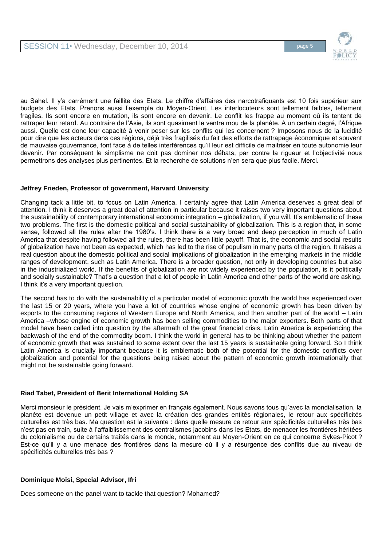

au Sahel. Il y'a carrément une faillite des Etats. Le chiffre d'affaires des narcotrafiquants est 10 fois supérieur aux budgets des Etats. Prenons aussi l'exemple du Moyen-Orient. Les interlocuteurs sont tellement faibles, tellement fragiles. Ils sont encore en mutation, ils sont encore en devenir. Le conflit les frappe au moment où ils tentent de rattraper leur retard. Au contraire de l'Asie, ils sont quasiment le ventre mou de la planète. A un certain degré, l'Afrique aussi. Quelle est donc leur capacité à venir peser sur les conflits qui les concernent ? Imposons nous de la lucidité pour dire que les acteurs dans ces régions, déjà très fragilisés du fait des efforts de rattrapage économique et souvent de mauvaise gouvernance, font face à de telles interférences qu'il leur est difficile de maitriser en toute autonomie leur devenir. Par conséquent le simplisme ne doit pas dominer nos débats, par contre la rigueur et l'objectivité nous permettrons des analyses plus pertinentes. Et la recherche de solutions n'en sera que plus facile. Merci.

# **Jeffrey Frieden, Professor of government, Harvard University**

Changing tack a little bit, to focus on Latin America. I certainly agree that Latin America deserves a great deal of attention. I think it deserves a great deal of attention in particular because it raises two very important questions about the sustainability of contemporary international economic integration – globalization, if you will. It's emblematic of these two problems. The first is the domestic political and social sustainability of globalization. This is a region that, in some sense, followed all the rules after the 1980's. I think there is a very broad and deep perception in much of Latin America that despite having followed all the rules, there has been little payoff. That is, the economic and social results of globalization have not been as expected, which has led to the rise of populism in many parts of the region. It raises a real question about the domestic political and social implications of globalization in the emerging markets in the middle ranges of development, such as Latin America. There is a broader question, not only in developing countries but also in the industrialized world. If the benefits of globalization are not widely experienced by the population, is it politically and socially sustainable? That's a question that a lot of people in Latin America and other parts of the world are asking. I think it's a very important question.

The second has to do with the sustainability of a particular model of economic growth the world has experienced over the last 15 or 20 years, where you have a lot of countries whose engine of economic growth has been driven by exports to the consuming regions of Western Europe and North America, and then another part of the world – Latin America –whose engine of economic growth has been selling commodities to the major exporters. Both parts of that model have been called into question by the aftermath of the great financial crisis. Latin America is experiencing the backwash of the end of the commodity boom. I think the world in general has to be thinking about whether the pattern of economic growth that was sustained to some extent over the last 15 years is sustainable going forward. So I think Latin America is crucially important because it is emblematic both of the potential for the domestic conflicts over globalization and potential for the questions being raised about the pattern of economic growth internationally that might not be sustainable going forward.

## **Riad Tabet, President of Berit International Holding SA**

Merci monsieur le président. Je vais m'exprimer en français également. Nous savons tous qu'avec la mondialisation, la planète est devenue un petit village et avec la création des grandes entités régionales, le retour aux spécificités culturelles est très bas. Ma question est la suivante : dans quelle mesure ce retour aux spécificités culturelles très bas n'est pas en train, suite à l'affaiblissement des centralismes jacobins dans les Etats, de menacer les frontières héritées du colonialisme ou de certains traités dans le monde, notamment au Moyen-Orient en ce qui concerne Sykes-Picot ? Est-ce qu'il y a une menace des frontières dans la mesure où il y a résurgence des conflits due au niveau de spécificités culturelles très bas ?

## **Dominique Moïsi, Special Advisor, Ifri**

Does someone on the panel want to tackle that question? Mohamed?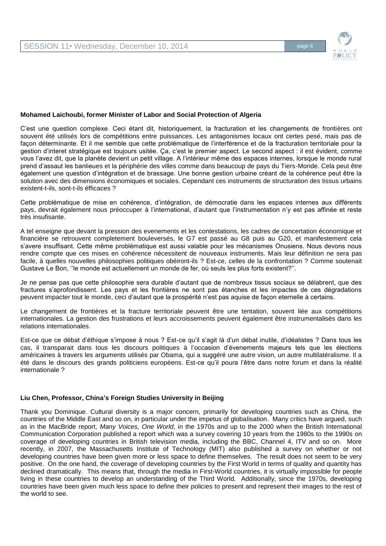

## **Mohamed Laichoubi, former Minister of Labor and Social Protection of Algeria**

C'est une question complexe. Ceci étant dit, historiquement, la fracturation et les changements de frontières ont souvent été utilisés lors de compétitions entre puissances. Les antagonismes locaux ont certes pesé, mais pas de façon déterminante. Et il me semble que cette problématique de l'interférence et de la fracturation territoriale pour la gestion d'interet stratégique est toujours usitée. Ça, c'est le premier aspect. Le second aspect : il est évident, comme vous l'avez dit, que la planète devient un petit village. A l'intérieur même des espaces internes, lorsque le monde rural prend d'assaut les banlieues et la périphérie des villes comme dans beaucoup de pays du Tiers-Monde. Cela peut être également une question d'intégration et de brassage. Une bonne gestion urbaine créant de la cohérence peut être la solution avec des dimensions économiques et sociales. Cependant ces instruments de structuration des tissus urbains existent-t-ils, sont-t-ils éfficaces ?

Cette problématique de mise en cohérence, d'intégration, de démocratie dans les espaces internes aux différents pays, devrait également nous préoccuper à l'international, d'autant que l'instrumentation n'y est pas affinée et reste très insufisante.

A tel enseigne que devant la pression des evenements et les contestations, les cadres de concertation économique et financière se retrouvent completement bouleversés, le G7 est passé au G8 puis au G20, et manifestement cela s'avere insuffisant. Cette même problématique est aussi valable pour les mécanismes Onusiens. Nous devons nous rendre compte que ces mises en cohérence nécessitent de nouveaux instruments. Mais leur définition ne sera pas facile, à quelles nouvelles philosophies politiques obéiront-ils ? Est-ce, celles de la confrontation ? Comme soutenait Gustave Le Bon, ''le monde est actuellement un monde de fer, où seuls les plus forts existent?''.

Je ne pense pas que cette philosophie sera durable d'autant que de nombreux tissus sociaux se délabrent, que des fractures s'aprofondissent. Les pays et les frontières ne sont pas étanches et les impactes de ces dégradations peuvent impacter tout le monde, ceci d'autant que la prospérité n'est pas aquise de façon eternelle à certains.

Le changement de frontières et la fracture territoriale peuvent être une tentation, souvent liée aux compétitions internationales. La gestion des frustrations et leurs accroissements peuvent également être instrumentalisés dans les relations internationales.

Est-ce que ce débat d'éthique s'impose à nous ? Est-ce qu'il s'agit là d'un débat inutile, d'idéalistes ? Dans tous les cas, il transparait dans tous les discours politiques à l'occasion d'évenements majeurs tels que les élections américaines à travers les arguments utilisés par Obama, qui a suggéré une autre vision, un autre multilatéralisme. Il a été dans le discours des grands politiciens européens. Est-ce qu'il poura l'être dans notre forum et dans la réalité internationale ?

## **Liu Chen, Professor, China's Foreign Studies University in Beijing**

Thank you Dominique. Cultural diversity is a major concern, primarily for developing countries such as China, the countries of the Middle East and so on, in particular under the impetus of globalisation. Many critics have argued, such as in the MacBride report, *Many Voices, One World*, in the 1970s and up to the 2000 when the British International Communication Corporation published a report which was a survey covering 10 years from the 1980s to the 1990s on coverage of developing countries in British television media, including the BBC, Channel 4, ITV and so on. More recently, in 2007, the Massachusetts Institute of Technology (MIT) also published a survey on whether or not developing countries have been given more or less space to define themselves. The result does not seem to be very positive. On the one hand, the coverage of developing countries by the First World in terms of quality and quantity has declined dramatically. This means that, through the media in First-World countries, it is virtually impossible for people living in these countries to develop an understanding of the Third World. Additionally, since the 1970s, developing countries have been given much less space to define their policies to present and represent their images to the rest of the world to see.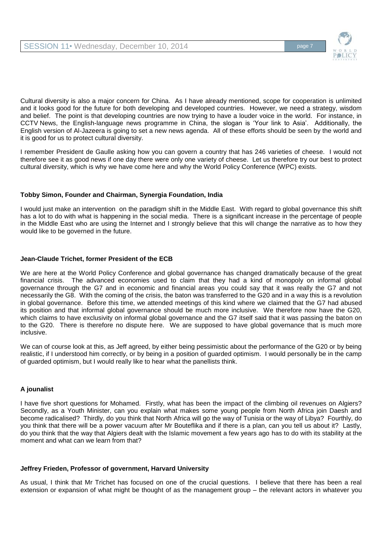

Cultural diversity is also a major concern for China. As I have already mentioned, scope for cooperation is unlimited and it looks good for the future for both developing and developed countries. However, we need a strategy, wisdom and belief. The point is that developing countries are now trying to have a louder voice in the world. For instance, in CCTV News, the English-language news programme in China, the slogan is 'Your link to Asia'. Additionally, the English version of Al-Jazeera is going to set a new news agenda. All of these efforts should be seen by the world and it is good for us to protect cultural diversity.

I remember President de Gaulle asking how you can govern a country that has 246 varieties of cheese. I would not therefore see it as good news if one day there were only one variety of cheese. Let us therefore try our best to protect cultural diversity, which is why we have come here and why the World Policy Conference (WPC) exists.

# **Tobby Simon, Founder and Chairman, Synergia Foundation, India**

I would just make an intervention on the paradigm shift in the Middle East. With regard to global governance this shift has a lot to do with what is happening in the social media. There is a significant increase in the percentage of people in the Middle East who are using the Internet and I strongly believe that this will change the narrative as to how they would like to be governed in the future.

## **Jean-Claude Trichet, former President of the ECB**

We are here at the World Policy Conference and global governance has changed dramatically because of the great financial crisis. The advanced economies used to claim that they had a kind of monopoly on informal global governance through the G7 and in economic and financial areas you could say that it was really the G7 and not necessarily the G8. With the coming of the crisis, the baton was transferred to the G20 and in a way this is a revolution in global governance. Before this time, we attended meetings of this kind where we claimed that the G7 had abused its position and that informal global governance should be much more inclusive. We therefore now have the G20, which claims to have exclusivity on informal global governance and the G7 itself said that it was passing the baton on to the G20. There is therefore no dispute here. We are supposed to have global governance that is much more inclusive.

We can of course look at this, as Jeff agreed, by either being pessimistic about the performance of the G20 or by being realistic, if I understood him correctly, or by being in a position of guarded optimism. I would personally be in the camp of guarded optimism, but I would really like to hear what the panellists think.

# **A jounalist**

I have five short questions for Mohamed. Firstly, what has been the impact of the climbing oil revenues on Algiers? Secondly, as a Youth Minister, can you explain what makes some young people from North Africa join Daesh and become radicalised? Thirdly, do you think that North Africa will go the way of Tunisia or the way of Libya? Fourthly, do you think that there will be a power vacuum after Mr Bouteflika and if there is a plan, can you tell us about it? Lastly, do you think that the way that Algiers dealt with the Islamic movement a few years ago has to do with its stability at the moment and what can we learn from that?

# **Jeffrey Frieden, Professor of government, Harvard University**

As usual, I think that Mr Trichet has focused on one of the crucial questions. I believe that there has been a real extension or expansion of what might be thought of as the management group – the relevant actors in whatever you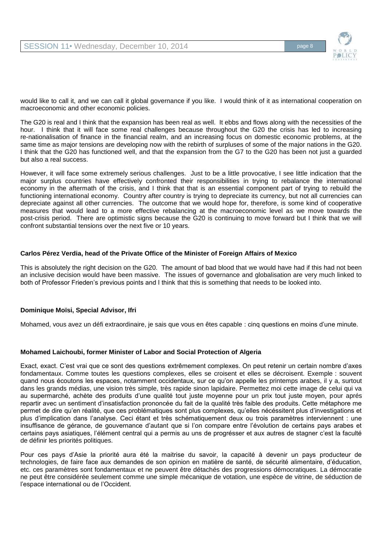

would like to call it, and we can call it global governance if you like. I would think of it as international cooperation on macroeconomic and other economic policies.

The G20 is real and I think that the expansion has been real as well. It ebbs and flows along with the necessities of the hour. I think that it will face some real challenges because throughout the G20 the crisis has led to increasing re-nationalisation of finance in the financial realm, and an increasing focus on domestic economic problems, at the same time as major tensions are developing now with the rebirth of surpluses of some of the major nations in the G20. I think that the G20 has functioned well, and that the expansion from the G7 to the G20 has been not just a guarded but also a real success.

However, it will face some extremely serious challenges. Just to be a little provocative, I see little indication that the major surplus countries have effectively confronted their responsibilities in trying to rebalance the international economy in the aftermath of the crisis, and I think that that is an essential component part of trying to rebuild the functioning international economy. Country after country is trying to depreciate its currency, but not all currencies can depreciate against all other currencies. The outcome that we would hope for, therefore, is some kind of cooperative measures that would lead to a more effective rebalancing at the macroeconomic level as we move towards the post-crisis period. There are optimistic signs because the G20 is continuing to move forward but I think that we will confront substantial tensions over the next five or 10 years.

## **Carlos Pérez Verdia, head of the Private Office of the Minister of Foreign Affairs of Mexico**

This is absolutely the right decision on the G20. The amount of bad blood that we would have had if this had not been an inclusive decision would have been massive. The issues of governance and globalisation are very much linked to both of Professor Frieden's previous points and I think that this is something that needs to be looked into.

# **Dominique Moïsi, Special Advisor, Ifri**

Mohamed, vous avez un défi extraordinaire, je sais que vous en êtes capable : cinq questions en moins d'une minute.

# **Mohamed Laichoubi, former Minister of Labor and Social Protection of Algeria**

Exact, exact. C'est vrai que ce sont des questions extrêmement complexes. On peut retenir un certain nombre d'axes fondamentaux. Comme toutes les questions complexes, elles se croisent et elles se décroisent. Exemple : souvent quand nous écoutons les espaces, notamment occidentaux, sur ce qu'on appelle les printemps arabes, il y a, surtout dans les grands médias, une vision très simple, très rapide sinon lapidaire. Permettez moi cette image de celui qui va au supermarché, achète des produits d'une qualité tout juste moyenne pour un prix tout juste moyen, pour aprés repartir avec un sentiment d'insatisfaction prononcée du fait de la qualité très faible des produits. Cette métaphore me permet de dire qu'en réalité, que ces problématiques sont plus complexes, qu'elles nécéssitent plus d'investigations et plus d'implication dans l'analyse. Ceci étant et très schématiquement deux ou trois paramètres interviennent : une insuffisance de gérance, de gouvernance d'autant que si l'on compare entre l'évolution de certains pays arabes et certains pays asiatiques, l'élément central qui a permis au uns de progrésser et aux autres de stagner c'est la faculté de définir les priorités politiques.

Pour ces pays d'Asie la priorité aura été la maitrise du savoir, la capacité à devenir un pays producteur de technologies, de faire face aux demandes de son opinion en matière de santé, de sécurité alimentaire, d'éducation, etc. ces paramètres sont fondamentaux et ne peuvent être détachés des progressions démocratiques. La démocratie ne peut être considérée seulement comme une simple mécanique de votation, une espèce de vitrine, de séduction de l'espace international ou de l'Occident.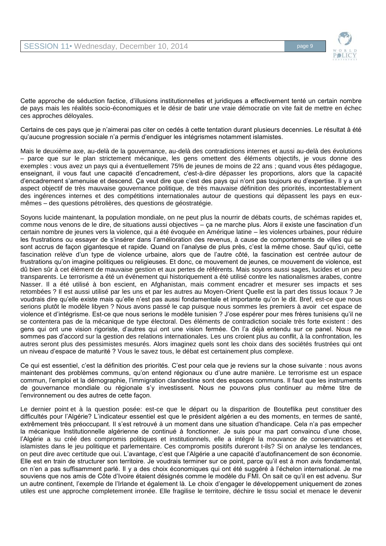

Cette approche de séduction factice, d'illusions institutionnelles et juridiques a effectivement tenté un certain nombre de pays mais les réalités socio-économiques et le désir de batir une vraie démocratie on vite fait de mettre en échec ces approches déloyales.

Certains de ces pays que je n'aimerai pas citer on cedés à cette tentation durant plusieurs decennies. Le résultat à été qu'aucune progression sociale n'a permis d'endiguer les intégrismes notamment islamistes.

Mais le deuxième axe, au-delà de la gouvernance, au-delà des contradictions internes et aussi au-delà des évolutions – parce que sur le plan strictement mécanique, les gens omettent des éléments objectifs, je vous donne des exemples : vous avez un pays qui a éventuellement 75% de jeunes de moins de 22 ans ; quand vous êtes pédagogue, enseignant, il vous faut une capacité d'encadrement, c'est-à-dire dépasser les proportions, alors que la capacité d'encadrement s'amenuise et descend. Ça veut dire que c'est des pays qui n'ont pas toujours eu d'expertise. Il y a un aspect objectif de très mauvaise gouvernance politique, de très mauvaise définition des priorités, incontestablement des ingérences internes et des compétitions internationales autour de questions qui dépassent les pays en euxmêmes – des questions pétrolières, des questions de géostratégie.

Soyons lucide maintenant, la population mondiale, on ne peut plus la nourrir de débats courts, de schémas rapides et, comme nous venons de le dire, de situations aussi objectives – ça ne marche plus. Alors il existe une fascination d'un certain nombre de jeunes vers la violence, qui a été évoquée en Amérique latine – les violences urbaines, pour réduire les frustrations ou essayer de s'insérer dans l'amélioration des revenus, à cause de comportements de villes qui se sont accrus de façon gigantesque et rapide. Quand on l'analyse de plus près, c'est la même chose. Sauf qu'ici, cette fascination relève d'un type de violence urbaine, alors que de l'autre côté, la fascination est centrée autour de frustrations qu'on imagine politiques ou religieuses. Et donc, ce mouvement de jeunes, ce mouvement de violence, est dû bien sûr à cet élément de mauvaise gestion et aux pertes de référents. Mais soyons aussi sages, lucides et un peu transparents. Le terrorisme a été un événement qui historiquement a été utilisé contre les nationalismes arabes, contre Nasser. Il a été utilisé à bon escient, en Afghanistan, mais comment encadrer et mesurer ses impacts et ses retombées ? Il est aussi utilisé par les uns et par les autres au Moyen-Orient Quelle est la part des tissus locaux ? Je voudrais dire qu'elle existe mais qu'elle n'est pas aussi fondamentale et importante qu'on le dit. Bref, est-ce que nous serions plutôt le modèle libyen ? Nous avons passé le cap puisque nous sommes les premiers à avoir cet espace de violence et d'intégrisme. Est-ce que nous serions le modèle tunisien ? J'ose espérer pour mes frères tunisiens qu'il ne se contentera pas de la mécanique de type électoral. Des éléments de contradiction sociale très forte existent : des gens qui ont une vision rigoriste, d'autres qui ont une vision fermée. On l'a déjà entendu sur ce panel. Nous ne sommes pas d'accord sur la gestion des relations internationales. Les uns croient plus au conflit, à la confrontation, les autres seront plus des pessimistes mesurés. Alors imaginez quels sont les choix dans des sociétés frustrées qui ont un niveau d'espace de maturité ? Vous le savez tous, le débat est certainement plus complexe.

Ce qui est essentiel, c'est la définition des priorités. C'est pour cela que je reviens sur la chose suivante : nous avons maintenant des problèmes communs, qu'on entend régionaux ou d'une autre manière. Le terrorisme est un espace commun, l'emploi et la démographie, l'immigration clandestine sont des espaces communs. Il faut que les instruments de gouvernance mondiale ou régionale s'y investissent. Nous ne pouvons plus continuer au même titre de l'environnement ou des autres de cette façon.

Le dernier point et à la question posée: est-ce que le départ ou la disparition de Bouteflika peut constituer des difficultés pour l'Algérie? L'indicateur essentiel est que le président algérien a eu des moments, en termes de santé, extrêmement très préoccupant. Il s'est retrouvé à un moment dans une situation d'handicape. Cela n'a pas empecher la mécanique Institutionnelle algérienne de continué à fonctionner. Je suis pour ma part convaincu d'une chose, l'Algérie a su créé des compromis politiques et institutionnels, elle a intégré la mouvance de conservatrices et islamistes dans le jeu politique et parlementaire. Ces compromis positifs dureront t-ils? Si on analyse les tendances, on peut dire avec certitude que oui. L'avantage, c'est que l'Algérie a une capacité d'autofinancement de son économie. Elle est en train de structurer son territoire. Je voudrais terminer sur ce point, parce qu'il est à mon avis fondamental, on n'en a pas suffisamment parlé. Il y a des choix économiques qui ont été suggéré à l'échelon international. Je me souviens que nos amis de Côte d'Ivoire étaient désignés comme le modèle du FMI. On sait ce qu'il en est advenu. Sur un autre continent, l'exemple de l'Irlande et également là. Le choix d'engager le développement uniquement de zones utiles est une approche completement irronée. Elle fragilise le territoire, déchire le tissu social et menace le devenir